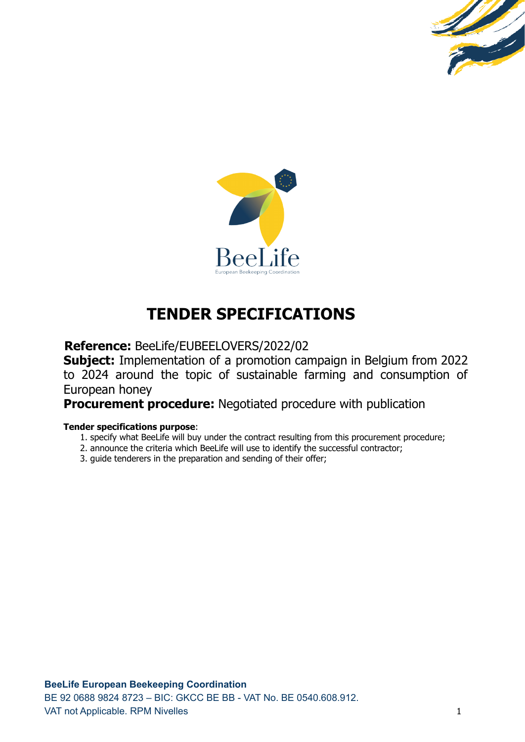



# **TENDER SPECIFICATIONS**

**Reference:** BeeLife/EUBEELOVERS/2022/02

**Subject:** Implementation of a promotion campaign in Belgium from 2022 to 2024 around the topic of sustainable farming and consumption of European honey

**Procurement procedure:** Negotiated procedure with publication

# **Tender specifications purpose**:

- 1. specify what BeeLife will buy under the contract resulting from this procurement procedure;
- 2. announce the criteria which BeeLife will use to identify the successful contractor;
- 3. guide tenderers in the preparation and sending of their offer;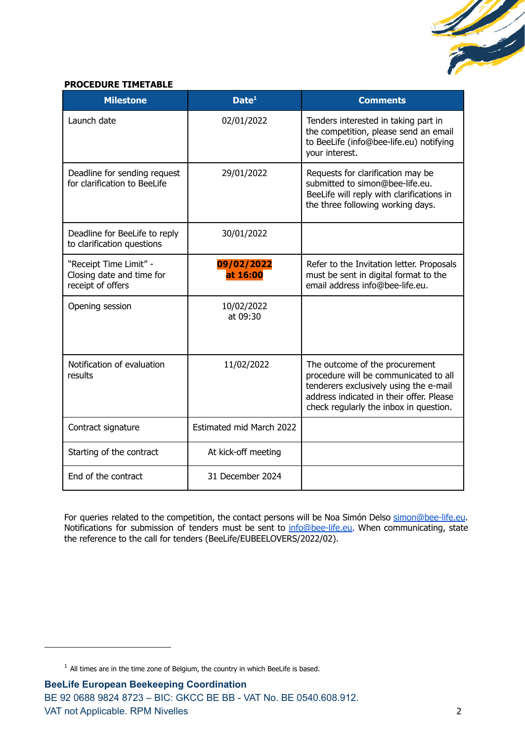

# **PROCEDURE TIMETABLE**

| <b>Milestone</b>                                                         | Date <sup>1</sup>               | <b>Comments</b>                                                                                                                                                                                         |
|--------------------------------------------------------------------------|---------------------------------|---------------------------------------------------------------------------------------------------------------------------------------------------------------------------------------------------------|
| Launch date                                                              | 02/01/2022                      | Tenders interested in taking part in<br>the competition, please send an email<br>to BeeLife (info@bee-life.eu) notifying<br>your interest.                                                              |
| Deadline for sending request<br>for clarification to BeeLife             | 29/01/2022                      | Requests for clarification may be<br>submitted to simon@bee-life.eu.<br>BeeLife will reply with clarifications in<br>the three following working days.                                                  |
| Deadline for BeeLife to reply<br>to clarification questions              | 30/01/2022                      |                                                                                                                                                                                                         |
| "Receipt Time Limit" -<br>Closing date and time for<br>receipt of offers | 09/02/2022<br>at 16:00          | Refer to the Invitation letter. Proposals<br>must be sent in digital format to the<br>email address info@bee-life.eu.                                                                                   |
| Opening session                                                          | 10/02/2022<br>at 09:30          |                                                                                                                                                                                                         |
| Notification of evaluation<br>results                                    | 11/02/2022                      | The outcome of the procurement<br>procedure will be communicated to all<br>tenderers exclusively using the e-mail<br>address indicated in their offer. Please<br>check regularly the inbox in question. |
| Contract signature                                                       | <b>Estimated mid March 2022</b> |                                                                                                                                                                                                         |
| Starting of the contract                                                 | At kick-off meeting             |                                                                                                                                                                                                         |
| End of the contract                                                      | 31 December 2024                |                                                                                                                                                                                                         |

For queries related to the competition, the contact persons will be Noa Simón Delso [simon@bee-life.eu](mailto:simon@bee-life.eu). Notifications for submission of tenders must be sent to [info@bee-life.eu.](mailto:info@bee-life.eu) When communicating, state the reference to the call for tenders (BeeLife/EUBEELOVERS/2022/02).

 $1$  All times are in the time zone of Belgium, the country in which BeeLife is based.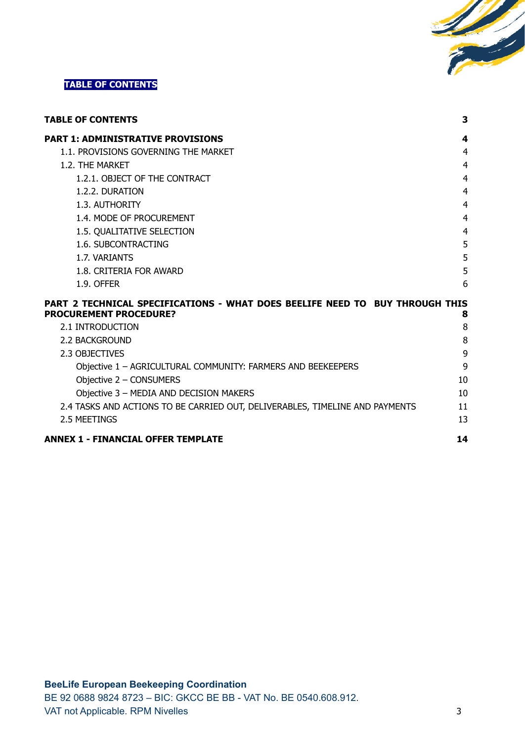

# <span id="page-2-0"></span>**TABLE OF CONTENTS**

| <b>TABLE OF CONTENTS</b>                                                                                      | 3  |
|---------------------------------------------------------------------------------------------------------------|----|
| <b>PART 1: ADMINISTRATIVE PROVISIONS</b>                                                                      | 4  |
| 1.1. PROVISIONS GOVERNING THE MARKET                                                                          | 4  |
| 1.2. THE MARKET                                                                                               | 4  |
| 1.2.1. OBJECT OF THE CONTRACT                                                                                 | 4  |
| 1.2.2. DURATION                                                                                               | 4  |
| 1.3. AUTHORITY                                                                                                | 4  |
| 1.4. MODE OF PROCUREMENT                                                                                      | 4  |
| 1.5. QUALITATIVE SELECTION                                                                                    | 4  |
| 1.6. SUBCONTRACTING                                                                                           | 5  |
| 1.7. VARIANTS                                                                                                 | 5  |
| 1.8. CRITERIA FOR AWARD                                                                                       | 5  |
| 1.9. OFFER                                                                                                    | 6  |
| PART 2 TECHNICAL SPECIFICATIONS - WHAT DOES BEELIFE NEED TO BUY THROUGH THIS<br><b>PROCUREMENT PROCEDURE?</b> | 8  |
| 2.1 INTRODUCTION                                                                                              | 8  |
| <b>2.2 BACKGROUND</b>                                                                                         | 8  |
| 2.3 OBJECTIVES                                                                                                | 9  |
| Objective 1 - AGRICULTURAL COMMUNITY: FARMERS AND BEEKEEPERS                                                  | 9  |
| Objective 2 - CONSUMERS                                                                                       | 10 |

| UDIECUVE Z – CUNSUMERS                                                       | ΙU |
|------------------------------------------------------------------------------|----|
| Objective 3 - MEDIA AND DECISION MAKERS                                      | 10 |
| 2.4 TASKS AND ACTIONS TO BE CARRIED OUT, DELIVERABLES, TIMELINE AND PAYMENTS | 11 |
| 2.5 MEETINGS                                                                 | 13 |
|                                                                              |    |

# **ANNEX 1 - [FINANCIAL](#page-13-0) OFFER TEMPLATE [14](#page-13-0)**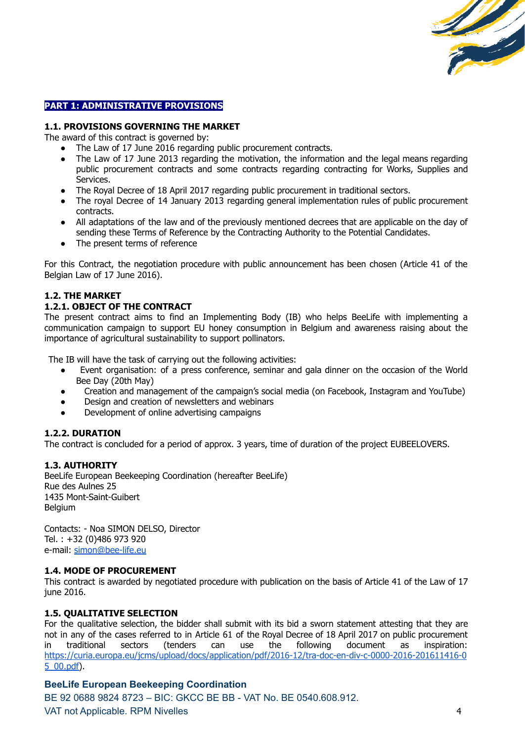

# <span id="page-3-0"></span>**PART 1: ADMINISTRATIVE PROVISIONS**

## <span id="page-3-1"></span>**1.1. PROVISIONS GOVERNING THE MARKET**

The award of this contract is governed by:

- The Law of 17 June 2016 regarding public procurement contracts.
- The Law of 17 June 2013 regarding the motivation, the information and the legal means regarding public procurement contracts and some contracts regarding contracting for Works, Supplies and Services.
- The Royal Decree of 18 April 2017 regarding public procurement in traditional sectors.
- The royal Decree of 14 January 2013 regarding general implementation rules of public procurement contracts.
- All adaptations of the law and of the previously mentioned decrees that are applicable on the day of sending these Terms of Reference by the Contracting Authority to the Potential Candidates.
- The present terms of reference

For this Contract, the negotiation procedure with public announcement has been chosen (Article 41 of the Belgian Law of 17 June 2016).

## <span id="page-3-2"></span>**1.2. THE MARKET**

#### <span id="page-3-3"></span>**1.2.1. OBJECT OF THE CONTRACT**

The present contract aims to find an Implementing Body (IB) who helps BeeLife with implementing a communication campaign to support EU honey consumption in Belgium and awareness raising about the importance of agricultural sustainability to support pollinators.

The IB will have the task of carrying out the following activities:

- Event organisation: of a press conference, seminar and gala dinner on the occasion of the World Bee Day (20th May)
- Creation and management of the campaign's social media (on Facebook, Instagram and YouTube)
- Design and creation of newsletters and webinars
- Development of online advertising campaigns

## <span id="page-3-4"></span>**1.2.2. DURATION**

The contract is concluded for a period of approx. 3 years, time of duration of the project EUBEELOVERS.

## <span id="page-3-5"></span>**1.3. AUTHORITY**

BeeLife European Beekeeping Coordination (hereafter BeeLife) Rue des Aulnes 25 1435 Mont-Saint-Guibert **Belgium** 

Contacts: - Noa SIMON DELSO, Director Tel. : +32 (0)486 973 920 e-mail: [simon@bee-life.eu](mailto:simon@bee-life.eu)

#### <span id="page-3-6"></span>**1.4. MODE OF PROCUREMENT**

This contract is awarded by negotiated procedure with publication on the basis of Article 41 of the Law of 17 june 2016.

## <span id="page-3-7"></span>**1.5. QUALITATIVE SELECTION**

For the qualitative selection, the bidder shall submit with its bid a sworn statement attesting that they are not in any of the cases referred to in Article 61 of the Royal Decree of 18 April 2017 on public procurement in traditional sectors (tenders can use the following document as inspiration: [https://curia.europa.eu/jcms/upload/docs/application/pdf/2016-12/tra-doc-en-div-c-0000-2016-201611416-0](https://curia.europa.eu/jcms/upload/docs/application/pdf/2016-12/tra-doc-en-div-c-0000-2016-201611416-05_00.pdf) [5\\_00.pdf\)](https://curia.europa.eu/jcms/upload/docs/application/pdf/2016-12/tra-doc-en-div-c-0000-2016-201611416-05_00.pdf).

## **BeeLife European Beekeeping Coordination**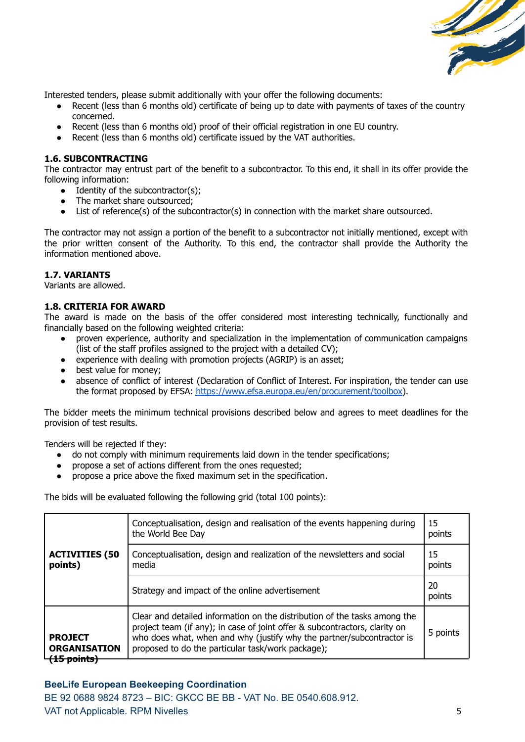

Interested tenders, please submit additionally with your offer the following documents:

- Recent (less than 6 months old) certificate of being up to date with payments of taxes of the country concerned.
- Recent (less than 6 months old) proof of their official registration in one EU country.
- Recent (less than 6 months old) certificate issued by the VAT authorities.

# <span id="page-4-0"></span>**1.6. SUBCONTRACTING**

The contractor may entrust part of the benefit to a subcontractor. To this end, it shall in its offer provide the following information:

- $\bullet$  Identity of the subcontractor(s):
- The market share outsourced:
- List of reference(s) of the subcontractor(s) in connection with the market share outsourced.

The contractor may not assign a portion of the benefit to a subcontractor not initially mentioned, except with the prior written consent of the Authority. To this end, the contractor shall provide the Authority the information mentioned above.

# <span id="page-4-1"></span>**1.7. VARIANTS**

Variants are allowed.

# <span id="page-4-2"></span>**1.8. CRITERIA FOR AWARD**

The award is made on the basis of the offer considered most interesting technically, functionally and financially based on the following weighted criteria:

- proven experience, authority and specialization in the implementation of communication campaigns (list of the staff profiles assigned to the project with a detailed CV);
- experience with dealing with promotion projects (AGRIP) is an asset;
- best value for money;
- absence of conflict of interest (Declaration of Conflict of Interest. For inspiration, the tender can use the format proposed by EFSA: [https://www.efsa.europa.eu/en/procurement/toolbox\)](https://www.efsa.europa.eu/en/procurement/toolbox).

The bidder meets the minimum technical provisions described below and agrees to meet deadlines for the provision of test results.

Tenders will be rejected if they:

- do not comply with minimum requirements laid down in the tender specifications;
- propose a set of actions different from the ones requested;
- propose a price above the fixed maximum set in the specification.

The bids will be evaluated following the following grid (total 100 points):

|                                                                 | Conceptualisation, design and realisation of the events happening during<br>the World Bee Day                                                                                                                                                                                         | 15<br>points |
|-----------------------------------------------------------------|---------------------------------------------------------------------------------------------------------------------------------------------------------------------------------------------------------------------------------------------------------------------------------------|--------------|
| <b>ACTIVITIES (50</b><br>points)                                | Conceptualisation, design and realization of the newsletters and social<br>media                                                                                                                                                                                                      | 15<br>points |
|                                                                 | Strategy and impact of the online advertisement                                                                                                                                                                                                                                       | 20<br>points |
| <b>PROJECT</b><br><b>ORGANISATION</b><br><del>(15 points)</del> | Clear and detailed information on the distribution of the tasks among the<br>project team (if any); in case of joint offer & subcontractors, clarity on<br>who does what, when and why (justify why the partner/subcontractor is<br>proposed to do the particular task/work package); | 5 points     |

# **BeeLife European Beekeeping Coordination**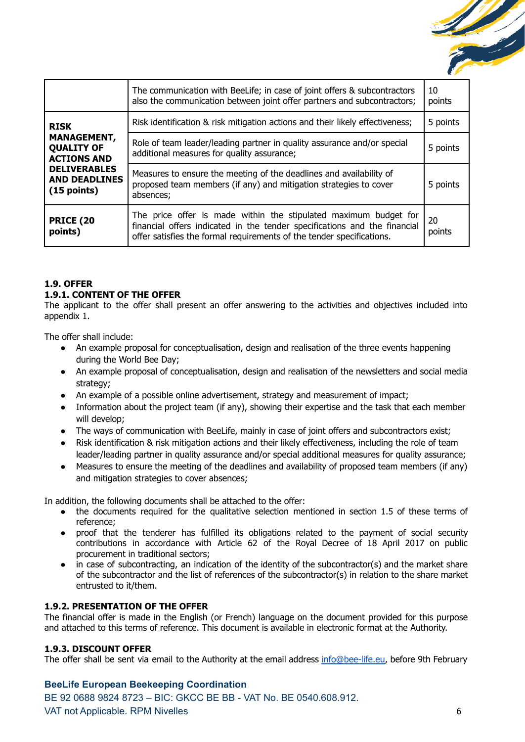

|                                                               | The communication with BeeLife; in case of joint offers & subcontractors<br>also the communication between joint offer partners and subcontractors;                                                                    | 10<br>points |
|---------------------------------------------------------------|------------------------------------------------------------------------------------------------------------------------------------------------------------------------------------------------------------------------|--------------|
| <b>RISK</b>                                                   | Risk identification & risk mitigation actions and their likely effectiveness;                                                                                                                                          | 5 points     |
| <b>MANAGEMENT,</b><br><b>QUALITY OF</b><br><b>ACTIONS AND</b> | Role of team leader/leading partner in quality assurance and/or special<br>5 points<br>additional measures for quality assurance;                                                                                      |              |
| <b>DELIVERABLES</b><br><b>AND DEADLINES</b><br>$(15$ points)  | Measures to ensure the meeting of the deadlines and availability of<br>proposed team members (if any) and mitigation strategies to cover<br>absences;                                                                  | 5 points     |
| <b>PRICE (20</b><br>points)                                   | The price offer is made within the stipulated maximum budget for<br>financial offers indicated in the tender specifications and the financial<br>offer satisfies the formal requirements of the tender specifications. | 20<br>points |

# <span id="page-5-0"></span>**1.9. OFFER**

## **1.9.1. CONTENT OF THE OFFER**

The applicant to the offer shall present an offer answering to the activities and objectives included into appendix 1.

The offer shall include:

- An example proposal for conceptualisation, design and realisation of the three events happening during the World Bee Day;
- An example proposal of conceptualisation, design and realisation of the newsletters and social media strategy;
- An example of a possible online advertisement, strategy and measurement of impact;
- Information about the project team (if any), showing their expertise and the task that each member will develop;
- The ways of communication with BeeLife, mainly in case of joint offers and subcontractors exist;
- Risk identification & risk mitigation actions and their likely effectiveness, including the role of team leader/leading partner in quality assurance and/or special additional measures for quality assurance;
- Measures to ensure the meeting of the deadlines and availability of proposed team members (if any) and mitigation strategies to cover absences;

In addition, the following documents shall be attached to the offer:

- the documents required for the qualitative selection mentioned in section 1.5 of these terms of reference;
- proof that the tenderer has fulfilled its obligations related to the payment of social security contributions in accordance with Article 62 of the Royal Decree of 18 April 2017 on public procurement in traditional sectors;
- in case of subcontracting, an indication of the identity of the subcontractor(s) and the market share of the subcontractor and the list of references of the subcontractor(s) in relation to the share market entrusted to it/them.

## **1.9.2. PRESENTATION OF THE OFFER**

The financial offer is made in the English (or French) language on the document provided for this purpose and attached to this terms of reference. This document is available in electronic format at the Authority.

## **1.9.3. DISCOUNT OFFER**

The offer shall be sent via email to the Authority at the email address [info@bee-life.eu](mailto:info@bee-life.eu), before 9th February

# **BeeLife European Beekeeping Coordination**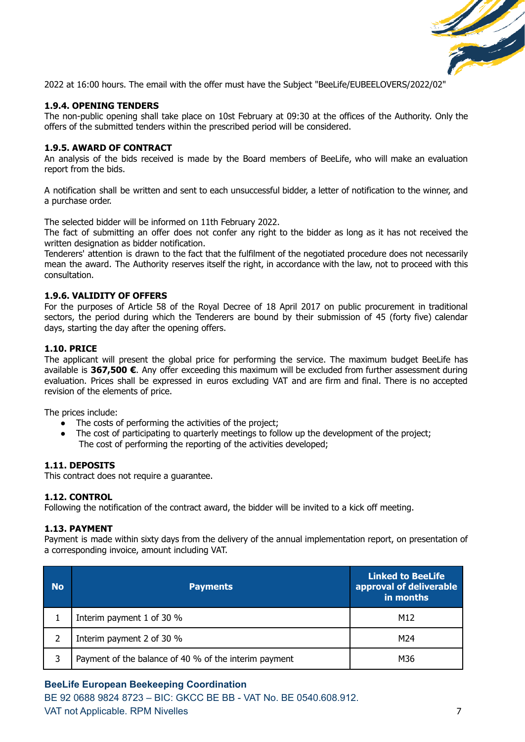

2022 at 16:00 hours. The email with the offer must have the Subject "BeeLife/EUBEELOVERS/2022/02"

#### **1.9.4. OPENING TENDERS**

The non-public opening shall take place on 10st February at 09:30 at the offices of the Authority. Only the offers of the submitted tenders within the prescribed period will be considered.

#### **1.9.5. AWARD OF CONTRACT**

An analysis of the bids received is made by the Board members of BeeLife, who will make an evaluation report from the bids.

A notification shall be written and sent to each unsuccessful bidder, a letter of notification to the winner, and a purchase order.

The selected bidder will be informed on 11th February 2022.

The fact of submitting an offer does not confer any right to the bidder as long as it has not received the written designation as bidder notification.

Tenderers' attention is drawn to the fact that the fulfilment of the negotiated procedure does not necessarily mean the award. The Authority reserves itself the right, in accordance with the law, not to proceed with this consultation.

#### **1.9.6. VALIDITY OF OFFERS**

For the purposes of Article 58 of the Royal Decree of 18 April 2017 on public procurement in traditional sectors, the period during which the Tenderers are bound by their submission of 45 (forty five) calendar days, starting the day after the opening offers.

#### **1.10. PRICE**

The applicant will present the global price for performing the service. The maximum budget BeeLife has available is **367,500 €**. Any offer exceeding this maximum will be excluded from further assessment during evaluation. Prices shall be expressed in euros excluding VAT and are firm and final. There is no accepted revision of the elements of price.

The prices include:

- The costs of performing the activities of the project;
- The cost of participating to quarterly meetings to follow up the development of the project; The cost of performing the reporting of the activities developed;

#### **1.11. DEPOSITS**

This contract does not require a guarantee.

#### **1.12. CONTROL**

Following the notification of the contract award, the bidder will be invited to a kick off meeting.

#### **1.13. PAYMENT**

Payment is made within sixty days from the delivery of the annual implementation report, on presentation of a corresponding invoice, amount including VAT.

| <b>No</b> | <b>Payments</b>                                       | <b>Linked to BeeLife</b><br>approval of deliverable<br>in months |
|-----------|-------------------------------------------------------|------------------------------------------------------------------|
|           | Interim payment 1 of 30 %                             | M12                                                              |
|           | Interim payment 2 of 30 %                             | M24                                                              |
| 3         | Payment of the balance of 40 % of the interim payment | M36                                                              |

## **BeeLife European Beekeeping Coordination**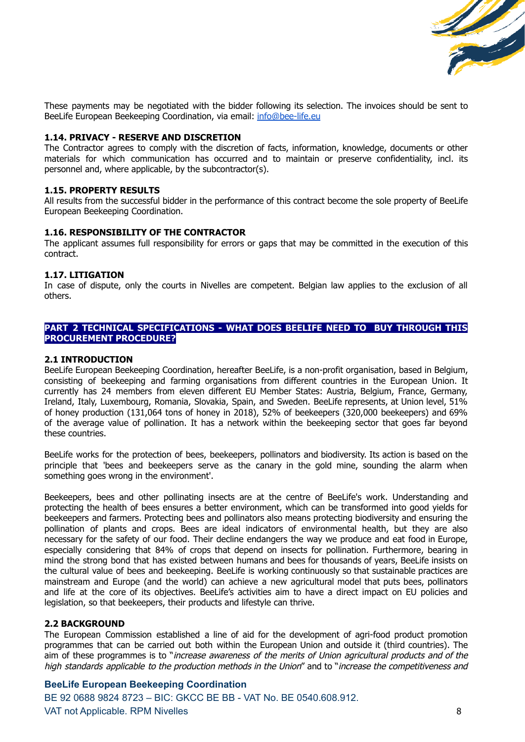

These payments may be negotiated with the bidder following its selection. The invoices should be sent to BeeLife European Beekeeping Coordination, via email: [info@bee-life.eu](mailto:info@bee-life.eu)

## **1.14. PRIVACY - RESERVE AND DISCRETION**

The Contractor agrees to comply with the discretion of facts, information, knowledge, documents or other materials for which communication has occurred and to maintain or preserve confidentiality, incl. its personnel and, where applicable, by the subcontractor(s).

#### **1.15. PROPERTY RESULTS**

All results from the successful bidder in the performance of this contract become the sole property of BeeLife European Beekeeping Coordination.

#### **1.16. RESPONSIBILITY OF THE CONTRACTOR**

The applicant assumes full responsibility for errors or gaps that may be committed in the execution of this contract.

#### **1.17. LITIGATION**

In case of dispute, only the courts in Nivelles are competent. Belgian law applies to the exclusion of all others.

# <span id="page-7-0"></span>**PART 2 TECHNICAL SPECIFICATIONS - WHAT DOES BEELIFE NEED TO BUY THROUGH THIS PROCUREMENT PROCEDURE?**

## <span id="page-7-1"></span>**2.1 INTRODUCTION**

BeeLife European Beekeeping Coordination, hereafter BeeLife, is a non-profit organisation, based in Belgium, consisting of beekeeping and farming organisations from different countries in the European Union. It currently has 24 members from eleven different EU Member States: Austria, Belgium, France, Germany, Ireland, Italy, Luxembourg, Romania, Slovakia, Spain, and Sweden. BeeLife represents, at Union level, 51% of honey production (131,064 tons of honey in 2018), 52% of beekeepers (320,000 beekeepers) and 69% of the average value of pollination. It has a network within the beekeeping sector that goes far beyond these countries.

BeeLife works for the protection of bees, beekeepers, pollinators and biodiversity. Its action is based on the principle that 'bees and beekeepers serve as the canary in the gold mine, sounding the alarm when something goes wrong in the environment'.

Beekeepers, bees and other pollinating insects are at the centre of BeeLife's work. Understanding and protecting the health of bees ensures a better environment, which can be transformed into good yields for beekeepers and farmers. Protecting bees and pollinators also means protecting biodiversity and ensuring the pollination of plants and crops. Bees are ideal indicators of environmental health, but they are also necessary for the safety of our food. Their decline endangers the way we produce and eat food in Europe, especially considering that 84% of crops that depend on insects for pollination. Furthermore, bearing in mind the strong bond that has existed between humans and bees for thousands of years, BeeLife insists on the cultural value of bees and beekeeping. BeeLife is working continuously so that sustainable practices are mainstream and Europe (and the world) can achieve a new agricultural model that puts bees, pollinators and life at the core of its objectives. BeeLife's activities aim to have a direct impact on EU policies and legislation, so that beekeepers, their products and lifestyle can thrive.

## <span id="page-7-2"></span>**2.2 BACKGROUND**

The European Commission established a line of aid for the development of agri-food product promotion programmes that can be carried out both within the European Union and outside it (third countries). The aim of these programmes is to "increase awareness of the merits of Union agricultural products and of the high standards applicable to the production methods in the Union" and to "increase the competitiveness and

## **BeeLife European Beekeeping Coordination**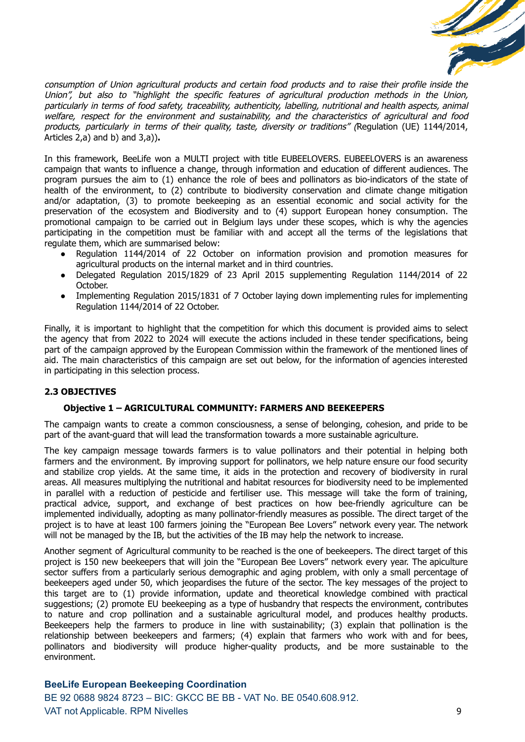

consumption of Union agricultural products and certain food products and to raise their profile inside the Union", but also to "highlight the specific features of agricultural production methods in the Union, particularly in terms of food safety, traceability, authenticity, labelling, nutritional and health aspects, animal welfare, respect for the environment and sustainability, and the characteristics of agricultural and food products, particularly in terms of their quality, taste, diversity or traditions" (Regulation (UE) 1144/2014, Articles 2,a) and b) and 3,a))**.**

In this framework, BeeLife won a MULTI project with title EUBEELOVERS. EUBEELOVERS is an awareness campaign that wants to influence a change, through information and education of different audiences. The program pursues the aim to (1) enhance the role of bees and pollinators as bio-indicators of the state of health of the environment, to (2) contribute to biodiversity conservation and climate change mitigation and/or adaptation, (3) to promote beekeeping as an essential economic and social activity for the preservation of the ecosystem and Biodiversity and to (4) support European honey consumption. The promotional campaign to be carried out in Belgium lays under these scopes, which is why the agencies participating in the competition must be familiar with and accept all the terms of the legislations that regulate them, which are summarised below:

- Regulation 1144/2014 of 22 October on information provision and promotion measures for agricultural products on the internal market and in third countries.
- Delegated Regulation 2015/1829 of 23 April 2015 supplementing Regulation 1144/2014 of 22 October.
- Implementing Regulation 2015/1831 of 7 October laying down implementing rules for implementing Regulation 1144/2014 of 22 October.

Finally, it is important to highlight that the competition for which this document is provided aims to select the agency that from 2022 to 2024 will execute the actions included in these tender specifications, being part of the campaign approved by the European Commission within the framework of the mentioned lines of aid. The main characteristics of this campaign are set out below, for the information of agencies interested in participating in this selection process.

# <span id="page-8-1"></span><span id="page-8-0"></span>**2.3 OBJECTIVES**

## **Objective 1 – AGRICULTURAL COMMUNITY: FARMERS AND BEEKEEPERS**

The campaign wants to create a common consciousness, a sense of belonging, cohesion, and pride to be part of the avant-guard that will lead the transformation towards a more sustainable agriculture.

The key campaign message towards farmers is to value pollinators and their potential in helping both farmers and the environment. By improving support for pollinators, we help nature ensure our food security and stabilize crop yields. At the same time, it aids in the protection and recovery of biodiversity in rural areas. All measures multiplying the nutritional and habitat resources for biodiversity need to be implemented in parallel with a reduction of pesticide and fertiliser use. This message will take the form of training, practical advice, support, and exchange of best practices on how bee-friendly agriculture can be implemented individually, adopting as many pollinator-friendly measures as possible. The direct target of the project is to have at least 100 farmers joining the "European Bee Lovers" network every year. The network will not be managed by the IB, but the activities of the IB may help the network to increase.

Another segment of Agricultural community to be reached is the one of beekeepers. The direct target of this project is 150 new beekeepers that will join the "European Bee Lovers" network every year. The apiculture sector suffers from a particularly serious demographic and aging problem, with only a small percentage of beekeepers aged under 50, which jeopardises the future of the sector. The key messages of the project to this target are to (1) provide information, update and theoretical knowledge combined with practical suggestions; (2) promote EU beekeeping as a type of husbandry that respects the environment, contributes to nature and crop pollination and a sustainable agricultural model, and produces healthy products. Beekeepers help the farmers to produce in line with sustainability; (3) explain that pollination is the relationship between beekeepers and farmers; (4) explain that farmers who work with and for bees, pollinators and biodiversity will produce higher-quality products, and be more sustainable to the environment.

# **BeeLife European Beekeeping Coordination** BE 92 0688 9824 8723 – BIC: GKCC BE BB - VAT No. BE 0540.608.912. VAT not Applicable. RPM Nivelles 9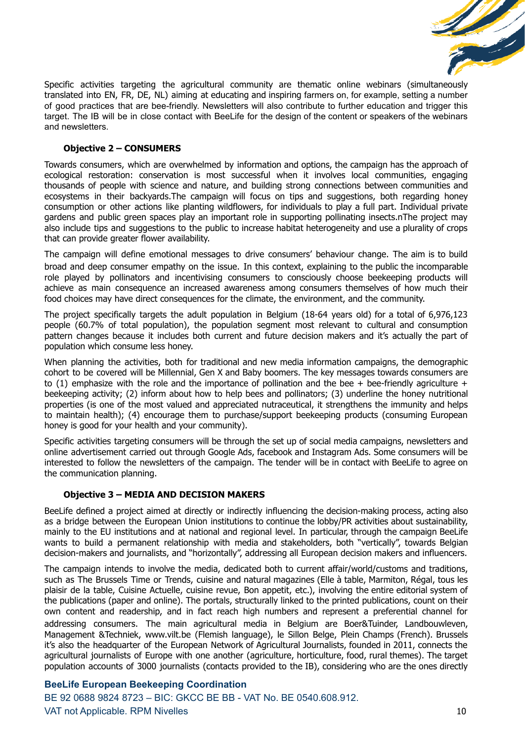

Specific activities targeting the agricultural community are thematic online webinars (simultaneously translated into EN, FR, DE, NL) aiming at educating and inspiring farmers on, for example, setting a number of good practices that are bee-friendly. Newsletters will also contribute to further education and trigger this target. The IB will be in close contact with BeeLife for the design of the content or speakers of the webinars and newsletters.

# <span id="page-9-0"></span>**Objective 2 – CONSUMERS**

Towards consumers, which are overwhelmed by information and options, the campaign has the approach of ecological restoration: conservation is most successful when it involves local communities, engaging thousands of people with science and nature, and building strong connections between communities and ecosystems in their backyards.The campaign will focus on tips and suggestions, both regarding honey consumption or other actions like planting wildflowers, for individuals to play a full part. Individual private gardens and public green spaces play an important role in supporting pollinating insects.nThe project may also include tips and suggestions to the public to increase habitat heterogeneity and use a plurality of crops that can provide greater flower availability.

The campaign will define emotional messages to drive consumers' behaviour change. The aim is to build broad and deep consumer empathy on the issue. In this context, explaining to the public the incomparable role played by pollinators and incentivising consumers to consciously choose beekeeping products will achieve as main consequence an increased awareness among consumers themselves of how much their food choices may have direct consequences for the climate, the environment, and the community.

The project specifically targets the adult population in Belgium (18-64 years old) for a total of 6,976,123 people (60.7% of total population), the population segment most relevant to cultural and consumption pattern changes because it includes both current and future decision makers and it's actually the part of population which consume less honey.

When planning the activities, both for traditional and new media information campaigns, the demographic cohort to be covered will be Millennial, Gen X and Baby boomers. The key messages towards consumers are to (1) emphasize with the role and the importance of pollination and the bee + bee-friendly agriculture + beekeeping activity; (2) inform about how to help bees and pollinators; (3) underline the honey nutritional properties (is one of the most valued and appreciated nutraceutical, it strengthens the immunity and helps to maintain health); (4) encourage them to purchase/support beekeeping products (consuming European honey is good for your health and your community).

Specific activities targeting consumers will be through the set up of social media campaigns, newsletters and online advertisement carried out through Google Ads, facebook and Instagram Ads. Some consumers will be interested to follow the newsletters of the campaign. The tender will be in contact with BeeLife to agree on the communication planning.

# <span id="page-9-1"></span>**Objective 3 – MEDIA AND DECISION MAKERS**

BeeLife defined a project aimed at directly or indirectly influencing the decision-making process, acting also as a bridge between the European Union institutions to continue the lobby/PR activities about sustainability, mainly to the EU institutions and at national and regional level. In particular, through the campaign BeeLife wants to build a permanent relationship with media and stakeholders, both "vertically", towards Belgian decision-makers and journalists, and "horizontally", addressing all European decision makers and influencers.

The campaign intends to involve the media, dedicated both to current affair/world/customs and traditions, such as The Brussels Time or Trends, cuisine and natural magazines (Elle à table, Marmiton, Régal, tous les plaisir de la table, Cuisine Actuelle, cuisine revue, Bon appetit, etc.), involving the entire editorial system of the publications (paper and online). The portals, structurally linked to the printed publications, count on their own content and readership, and in fact reach high numbers and represent a preferential channel for addressing consumers. The main agricultural media in Belgium are Boer&Tuinder, Landbouwleven, Management &Techniek, www.vilt.be (Flemish language), le Sillon Belge, Plein Champs (French). Brussels it's also the headquarter of the European Network of Agricultural Journalists, founded in 2011, connects the agricultural journalists of Europe with one another (agriculture, horticulture, food, rural themes). The target population accounts of 3000 journalists (contacts provided to the IB), considering who are the ones directly

# **BeeLife European Beekeeping Coordination**

BE 92 0688 9824 8723 – BIC: GKCC BE BB - VAT No. BE 0540.608.912. VAT not Applicable. RPM Nivelles 10 and 200 and 200 and 200 and 200 and 200 and 200 and 200 and 200 and 200 and 200 and 200 and 200 and 200 and 200 and 200 and 200 and 200 and 200 and 200 and 200 and 200 and 200 and 200 an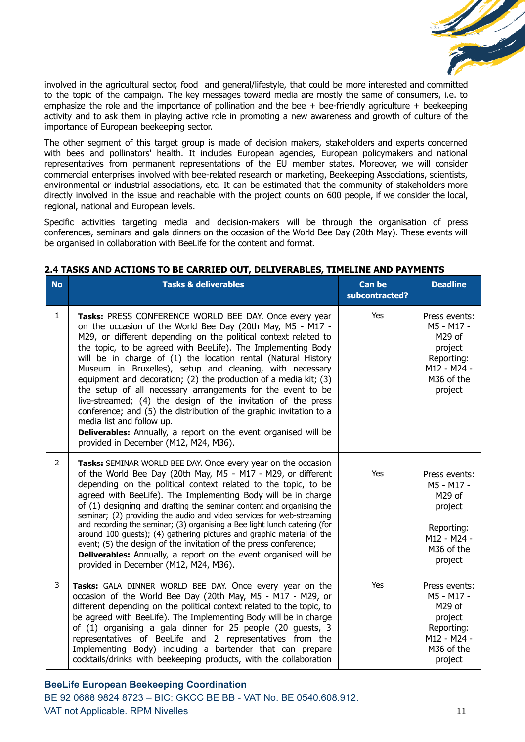

involved in the agricultural sector, food and general/lifestyle, that could be more interested and committed to the topic of the campaign. The key messages toward media are mostly the same of consumers, i.e. to emphasize the role and the importance of pollination and the bee  $+$  bee-friendly agriculture  $+$  beekeeping activity and to ask them in playing active role in promoting a new awareness and growth of culture of the importance of European beekeeping sector.

The other segment of this target group is made of decision makers, stakeholders and experts concerned with bees and pollinators' health. It includes European agencies, European policymakers and national representatives from permanent representations of the EU member states. Moreover, we will consider commercial enterprises involved with bee-related research or marketing, Beekeeping Associations, scientists, environmental or industrial associations, etc. It can be estimated that the community of stakeholders more directly involved in the issue and reachable with the project counts on 600 people, if we consider the local, regional, national and European levels.

Specific activities targeting media and decision-makers will be through the organisation of press conferences, seminars and gala dinners on the occasion of the World Bee Day (20th May). These events will be organised in collaboration with BeeLife for the content and format.

| <b>No</b>      | <b>Tasks &amp; deliverables</b>                                                                                                                                                                                                                                                                                                                                                                                                                                                                                                                                                                                                                                                                                                                                                                                | <b>Can be</b><br>subcontracted? | <b>Deadline</b>                                                                                        |
|----------------|----------------------------------------------------------------------------------------------------------------------------------------------------------------------------------------------------------------------------------------------------------------------------------------------------------------------------------------------------------------------------------------------------------------------------------------------------------------------------------------------------------------------------------------------------------------------------------------------------------------------------------------------------------------------------------------------------------------------------------------------------------------------------------------------------------------|---------------------------------|--------------------------------------------------------------------------------------------------------|
| $\mathbf{1}$   | Tasks: PRESS CONFERENCE WORLD BEE DAY. Once every year<br>on the occasion of the World Bee Day (20th May, M5 - M17 -<br>M29, or different depending on the political context related to<br>the topic, to be agreed with BeeLife). The Implementing Body<br>will be in charge of (1) the location rental (Natural History<br>Museum in Bruxelles), setup and cleaning, with necessary<br>equipment and decoration; (2) the production of a media kit; (3)<br>the setup of all necessary arrangements for the event to be<br>live-streamed; (4) the design of the invitation of the press<br>conference; and (5) the distribution of the graphic invitation to a<br>media list and follow up.<br><b>Deliverables:</b> Annually, a report on the event organised will be<br>provided in December (M12, M24, M36). | Yes                             | Press events:<br>M5 - M17 -<br>M29 of<br>project<br>Reporting:<br>M12 - M24 -<br>M36 of the<br>project |
| $\overline{2}$ | Tasks: SEMINAR WORLD BEE DAY. Once every year on the occasion<br>of the World Bee Day (20th May, M5 - M17 - M29, or different<br>depending on the political context related to the topic, to be<br>agreed with BeeLife). The Implementing Body will be in charge<br>of (1) designing and drafting the seminar content and organising the<br>seminar; (2) providing the audio and video services for web-streaming<br>and recording the seminar; (3) organising a Bee light lunch catering (for<br>around 100 guests); (4) gathering pictures and graphic material of the<br>event; (5) the design of the invitation of the press conference;<br><b>Deliverables:</b> Annually, a report on the event organised will be<br>provided in December (M12, M24, M36).                                                | Yes                             | Press events:<br>M5 - M17 -<br>M29 of<br>project<br>Reporting:<br>M12 - M24 -<br>M36 of the<br>project |
| 3              | Tasks: GALA DINNER WORLD BEE DAY. Once every year on the<br>occasion of the World Bee Day (20th May, M5 - M17 - M29, or<br>different depending on the political context related to the topic, to<br>be agreed with BeeLife). The Implementing Body will be in charge<br>of (1) organising a gala dinner for 25 people (20 guests, 3<br>representatives of BeeLife and 2 representatives from the<br>Implementing Body) including a bartender that can prepare<br>cocktails/drinks with beekeeping products, with the collaboration                                                                                                                                                                                                                                                                             | Yes                             | Press events:<br>M5 - M17 -<br>M29 of<br>project<br>Reporting:<br>M12 - M24 -<br>M36 of the<br>project |

# <span id="page-10-0"></span>**2.4 TASKS AND ACTIONS TO BE CARRIED OUT, DELIVERABLES, TIMELINE AND PAYMENTS**

# **BeeLife European Beekeeping Coordination**

BE 92 0688 9824 8723 – BIC: GKCC BE BB - VAT No. BE 0540.608.912. VAT not Applicable. RPM Nivelles 11 and 200 minutes 11 and 200 minutes 11 and 200 minutes 11 and 200 minutes 11 and 200 minutes 11 and 200 minutes 11 and 200 minutes 11 and 200 minutes 12 and 200 minutes 12 and 200 minutes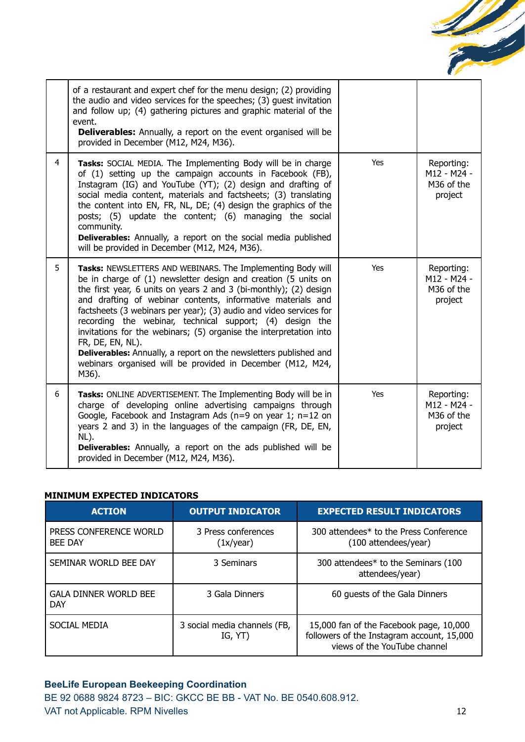

|                | of a restaurant and expert chef for the menu design; (2) providing<br>the audio and video services for the speeches; (3) guest invitation<br>and follow up; (4) gathering pictures and graphic material of the<br>event.<br><b>Deliverables:</b> Annually, a report on the event organised will be<br>provided in December (M12, M24, M36).                                                                                                                                                                                                                                                                                                      |     |                                                    |
|----------------|--------------------------------------------------------------------------------------------------------------------------------------------------------------------------------------------------------------------------------------------------------------------------------------------------------------------------------------------------------------------------------------------------------------------------------------------------------------------------------------------------------------------------------------------------------------------------------------------------------------------------------------------------|-----|----------------------------------------------------|
| $\overline{4}$ | Tasks: SOCIAL MEDIA. The Implementing Body will be in charge<br>of (1) setting up the campaign accounts in Facebook (FB),<br>Instagram (IG) and YouTube (YT); (2) design and drafting of<br>social media content, materials and factsheets; (3) translating<br>the content into EN, FR, NL, DE; (4) design the graphics of the<br>posts; (5) update the content; (6) managing the social<br>community.<br><b>Deliverables:</b> Annually, a report on the social media published<br>will be provided in December (M12, M24, M36).                                                                                                                 | Yes | Reporting:<br>M12 - M24 -<br>M36 of the<br>project |
| 5              | Tasks: NEWSLETTERS AND WEBINARS. The Implementing Body will<br>be in charge of (1) newsletter design and creation (5 units on<br>the first year, 6 units on years 2 and 3 (bi-monthly); (2) design<br>and drafting of webinar contents, informative materials and<br>factsheets (3 webinars per year); (3) audio and video services for<br>recording the webinar, technical support; (4) design the<br>invitations for the webinars; (5) organise the interpretation into<br>FR, DE, EN, NL).<br><b>Deliverables:</b> Annually, a report on the newsletters published and<br>webinars organised will be provided in December (M12, M24,<br>M36). | Yes | Reporting:<br>M12 - M24 -<br>M36 of the<br>project |
| 6              | <b>Tasks:</b> ONLINE ADVERTISEMENT. The Implementing Body will be in<br>charge of developing online advertising campaigns through<br>Google, Facebook and Instagram Ads ( $n=9$ on year 1; $n=12$ on<br>years 2 and 3) in the languages of the campaign (FR, DE, EN,<br>NL).<br><b>Deliverables:</b> Annually, a report on the ads published will be<br>provided in December (M12, M24, M36).                                                                                                                                                                                                                                                    | Yes | Reporting:<br>M12 - M24 -<br>M36 of the<br>project |

## **MINIMUM EXPECTED INDICATORS**

| <b>ACTION</b>                              | <b>OUTPUT INDICATOR</b>                 | <b>EXPECTED RESULT INDICATORS</b>                                                                                     |
|--------------------------------------------|-----------------------------------------|-----------------------------------------------------------------------------------------------------------------------|
| PRESS CONFERENCE WORLD<br><b>BEE DAY</b>   | 3 Press conferences<br>(1x/year)        | 300 attendees* to the Press Conference<br>(100 attendees/year)                                                        |
| SEMINAR WORLD BEE DAY                      | 3 Seminars                              | 300 attendees* to the Seminars (100<br>attendees/year)                                                                |
| <b>GALA DINNER WORLD BEE</b><br><b>DAY</b> | 3 Gala Dinners                          | 60 guests of the Gala Dinners                                                                                         |
| SOCIAL MEDIA                               | 3 social media channels (FB,<br>IG, YT) | 15,000 fan of the Facebook page, 10,000<br>followers of the Instagram account, 15,000<br>views of the YouTube channel |

# **BeeLife European Beekeeping Coordination**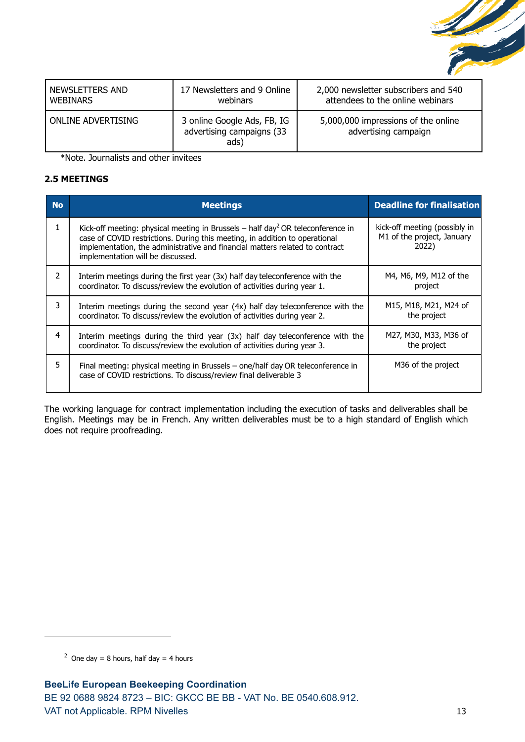

| <b>NEWSLETTERS AND</b> | 17 Newsletters and 9 Online                                      | 2,000 newsletter subscribers and 540                        |
|------------------------|------------------------------------------------------------------|-------------------------------------------------------------|
| <b>WEBINARS</b>        | webinars                                                         | attendees to the online webinars                            |
| ONLINE ADVERTISING     | 3 online Google Ads, FB, IG<br>advertising campaigns (33<br>ads) | 5,000,000 impressions of the online<br>advertising campaign |

\*Note. Journalists and other invitees

# <span id="page-12-0"></span>**2.5 MEETINGS**

| <b>No</b>     | <b>Meetings</b>                                                                                                                                                                                                                                                                                 | <b>Deadline for finalisation</b>                                     |
|---------------|-------------------------------------------------------------------------------------------------------------------------------------------------------------------------------------------------------------------------------------------------------------------------------------------------|----------------------------------------------------------------------|
|               | Kick-off meeting: physical meeting in Brussels – half day <sup>2</sup> OR teleconference in<br>case of COVID restrictions. During this meeting, in addition to operational<br>implementation, the administrative and financial matters related to contract<br>implementation will be discussed. | kick-off meeting (possibly in<br>M1 of the project, January<br>2022) |
| $\mathcal{P}$ | Interim meetings during the first year (3x) half day teleconference with the<br>coordinator. To discuss/review the evolution of activities during year 1.                                                                                                                                       | M4, M6, M9, M12 of the<br>project                                    |
| 3             | Interim meetings during the second year (4x) half day teleconference with the<br>coordinator. To discuss/review the evolution of activities during year 2.                                                                                                                                      | M15, M18, M21, M24 of<br>the project                                 |
| 4             | Interim meetings during the third year (3x) half day teleconference with the<br>coordinator. To discuss/review the evolution of activities during year 3.                                                                                                                                       | M27, M30, M33, M36 of<br>the project                                 |
| 5             | Final meeting: physical meeting in Brussels - one/half day OR teleconference in<br>case of COVID restrictions. To discuss/review final deliverable 3                                                                                                                                            | M36 of the project                                                   |

The working language for contract implementation including the execution of tasks and deliverables shall be English. Meetings may be in French. Any written deliverables must be to a high standard of English which does not require proofreading.

<sup>&</sup>lt;sup>2</sup> One day = 8 hours, half day = 4 hours